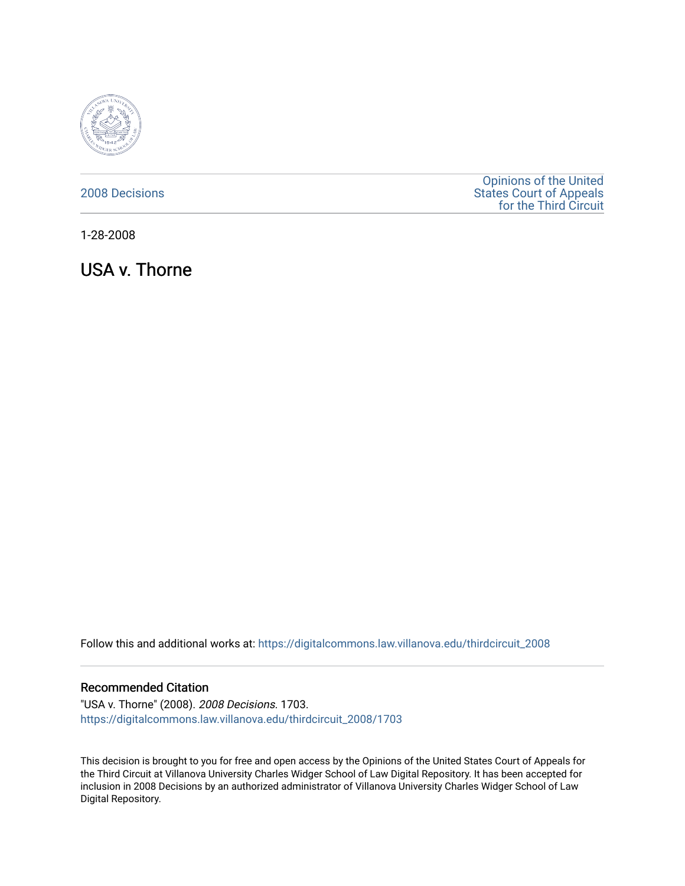

## [2008 Decisions](https://digitalcommons.law.villanova.edu/thirdcircuit_2008)

[Opinions of the United](https://digitalcommons.law.villanova.edu/thirdcircuit)  [States Court of Appeals](https://digitalcommons.law.villanova.edu/thirdcircuit)  [for the Third Circuit](https://digitalcommons.law.villanova.edu/thirdcircuit) 

1-28-2008

USA v. Thorne

Follow this and additional works at: [https://digitalcommons.law.villanova.edu/thirdcircuit\\_2008](https://digitalcommons.law.villanova.edu/thirdcircuit_2008?utm_source=digitalcommons.law.villanova.edu%2Fthirdcircuit_2008%2F1703&utm_medium=PDF&utm_campaign=PDFCoverPages) 

## Recommended Citation

"USA v. Thorne" (2008). 2008 Decisions. 1703. [https://digitalcommons.law.villanova.edu/thirdcircuit\\_2008/1703](https://digitalcommons.law.villanova.edu/thirdcircuit_2008/1703?utm_source=digitalcommons.law.villanova.edu%2Fthirdcircuit_2008%2F1703&utm_medium=PDF&utm_campaign=PDFCoverPages) 

This decision is brought to you for free and open access by the Opinions of the United States Court of Appeals for the Third Circuit at Villanova University Charles Widger School of Law Digital Repository. It has been accepted for inclusion in 2008 Decisions by an authorized administrator of Villanova University Charles Widger School of Law Digital Repository.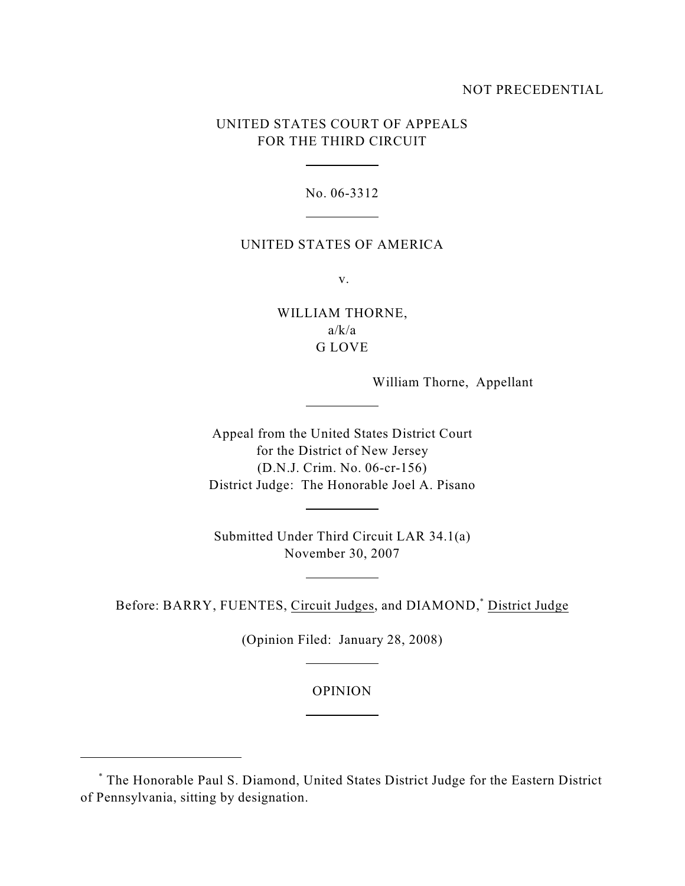## NOT PRECEDENTIAL

# UNITED STATES COURT OF APPEALS FOR THE THIRD CIRCUIT

 $\overline{a}$ 

 $\overline{a}$ 

 $\overline{a}$ 

 $\overline{a}$ 

 $\overline{a}$ 

 $\overline{a}$ 

 $\overline{a}$ 

No. 06-3312

#### UNITED STATES OF AMERICA

v.

WILLIAM THORNE,  $a/k/a$ G LOVE

William Thorne, Appellant

Appeal from the United States District Court for the District of New Jersey (D.N.J. Crim. No. 06-cr-156) District Judge: The Honorable Joel A. Pisano

Submitted Under Third Circuit LAR 34.1(a) November 30, 2007

Before: BARRY, FUENTES, Circuit Judges, and DIAMOND,<sup>\*</sup> District Judge

(Opinion Filed: January 28, 2008)

OPINION

The Honorable Paul S. Diamond, United States District Judge for the Eastern District \* of Pennsylvania, sitting by designation.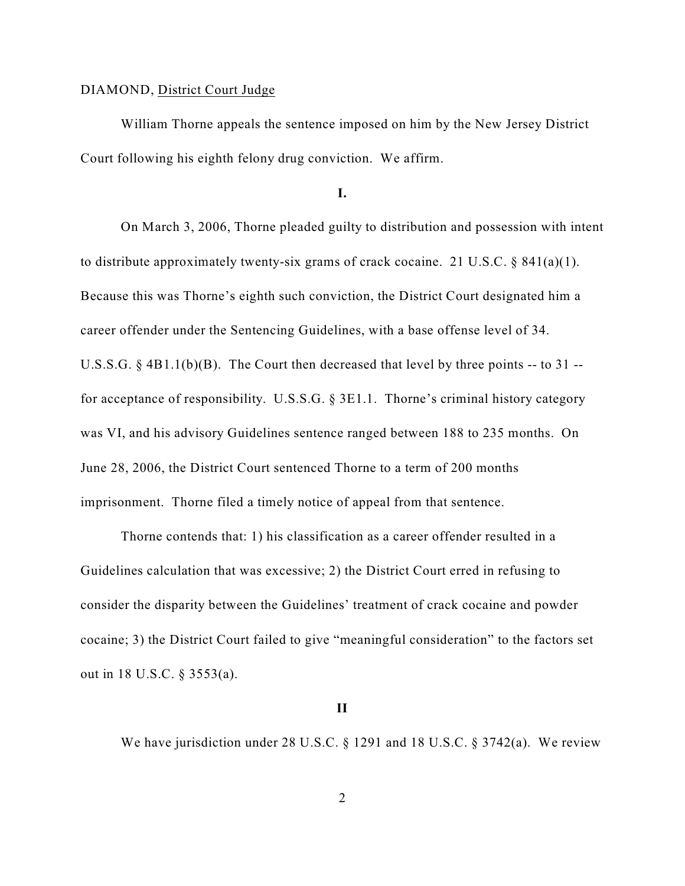## DIAMOND, District Court Judge

William Thorne appeals the sentence imposed on him by the New Jersey District Court following his eighth felony drug conviction. We affirm.

**I.**

On March 3, 2006, Thorne pleaded guilty to distribution and possession with intent to distribute approximately twenty-six grams of crack cocaine. 21 U.S.C. § 841(a)(1). Because this was Thorne's eighth such conviction, the District Court designated him a career offender under the Sentencing Guidelines, with a base offense level of 34. U.S.S.G. § 4B1.1(b)(B). The Court then decreased that level by three points -- to 31 - for acceptance of responsibility. U.S.S.G. § 3E1.1. Thorne's criminal history category was VI, and his advisory Guidelines sentence ranged between 188 to 235 months. On June 28, 2006, the District Court sentenced Thorne to a term of 200 months imprisonment. Thorne filed a timely notice of appeal from that sentence.

Thorne contends that: 1) his classification as a career offender resulted in a Guidelines calculation that was excessive; 2) the District Court erred in refusing to consider the disparity between the Guidelines' treatment of crack cocaine and powder cocaine; 3) the District Court failed to give "meaningful consideration" to the factors set out in 18 U.S.C. § 3553(a).

### **II**

We have jurisdiction under 28 U.S.C. § 1291 and 18 U.S.C. § 3742(a). We review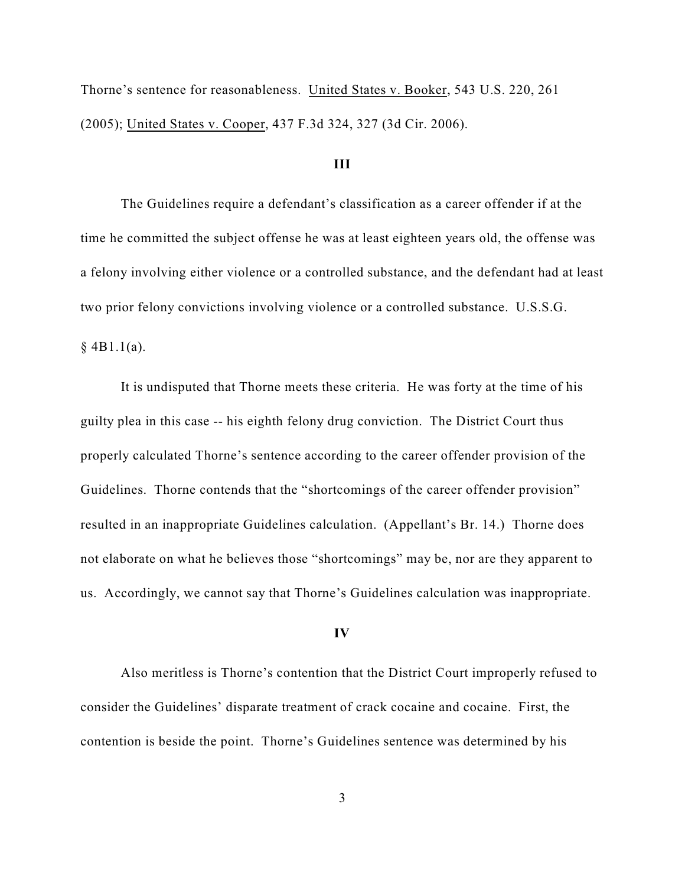Thorne's sentence for reasonableness. United States v. Booker, 543 U.S. 220, 261 (2005); United States v. Cooper, 437 F.3d 324, 327 (3d Cir. 2006).

#### **III**

The Guidelines require a defendant's classification as a career offender if at the time he committed the subject offense he was at least eighteen years old, the offense was a felony involving either violence or a controlled substance, and the defendant had at least two prior felony convictions involving violence or a controlled substance. U.S.S.G.

 $§$  4B1.1(a).

It is undisputed that Thorne meets these criteria. He was forty at the time of his guilty plea in this case -- his eighth felony drug conviction. The District Court thus properly calculated Thorne's sentence according to the career offender provision of the Guidelines. Thorne contends that the "shortcomings of the career offender provision" resulted in an inappropriate Guidelines calculation. (Appellant's Br. 14.) Thorne does not elaborate on what he believes those "shortcomings" may be, nor are they apparent to us. Accordingly, we cannot say that Thorne's Guidelines calculation was inappropriate.

#### **IV**

Also meritless is Thorne's contention that the District Court improperly refused to consider the Guidelines' disparate treatment of crack cocaine and cocaine. First, the contention is beside the point. Thorne's Guidelines sentence was determined by his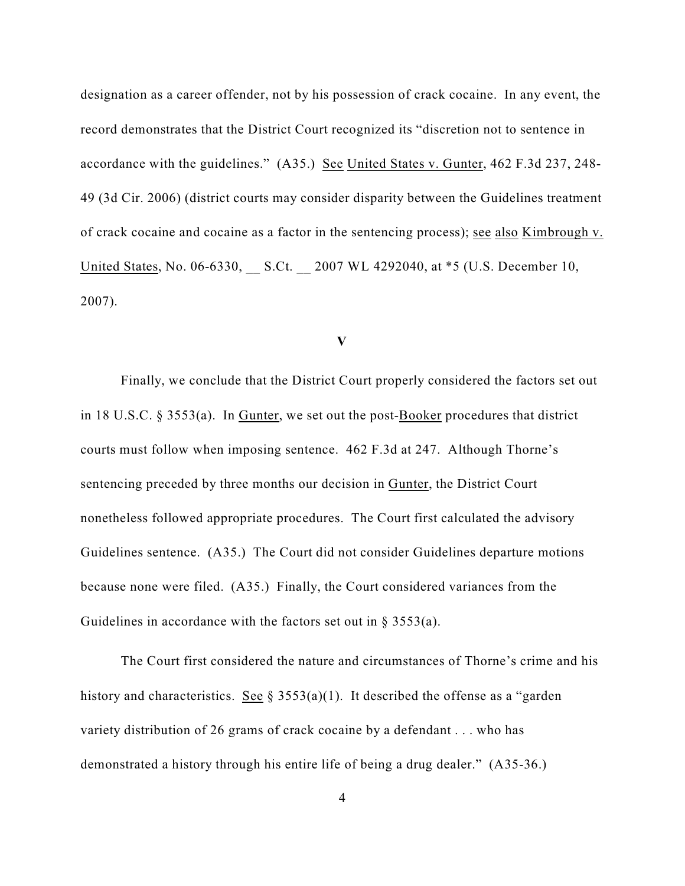designation as a career offender, not by his possession of crack cocaine. In any event, the record demonstrates that the District Court recognized its "discretion not to sentence in accordance with the guidelines." (A35.) See United States v. Gunter, 462 F.3d 237, 248- 49 (3d Cir. 2006) (district courts may consider disparity between the Guidelines treatment of crack cocaine and cocaine as a factor in the sentencing process); see also Kimbrough v. United States, No. 06-6330, S.Ct. 2007 WL 4292040, at \*5 (U.S. December 10, 2007).

**V**

Finally, we conclude that the District Court properly considered the factors set out in 18 U.S.C. § 3553(a). In Gunter, we set out the post-Booker procedures that district courts must follow when imposing sentence. 462 F.3d at 247. Although Thorne's sentencing preceded by three months our decision in Gunter, the District Court nonetheless followed appropriate procedures. The Court first calculated the advisory Guidelines sentence. (A35.) The Court did not consider Guidelines departure motions because none were filed. (A35.) Finally, the Court considered variances from the Guidelines in accordance with the factors set out in  $\S$  3553(a).

The Court first considered the nature and circumstances of Thorne's crime and his history and characteristics. See §  $3553(a)(1)$ . It described the offense as a "garden" variety distribution of 26 grams of crack cocaine by a defendant . . . who has demonstrated a history through his entire life of being a drug dealer." (A35-36.)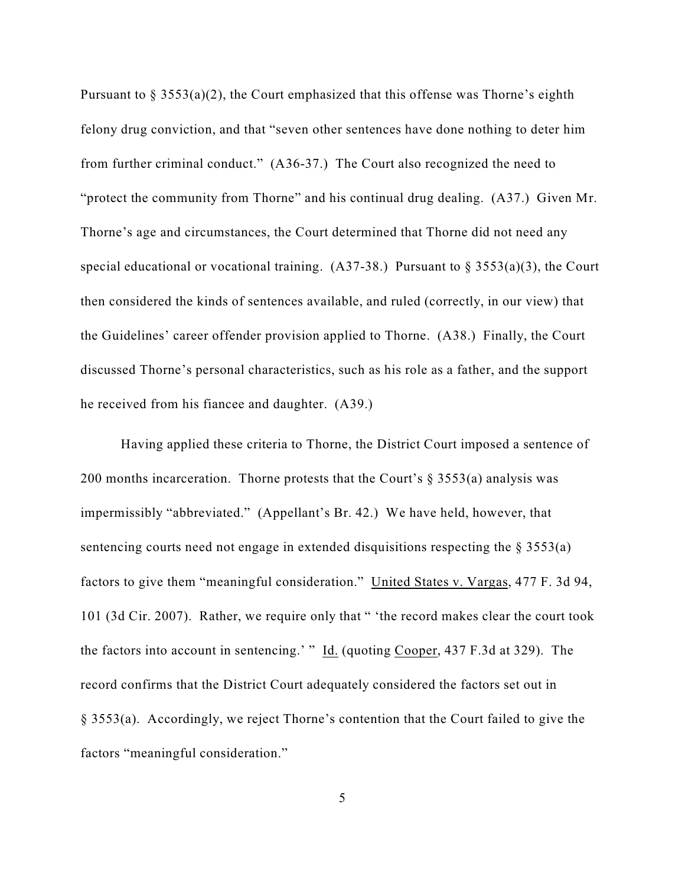Pursuant to  $\S 3553(a)(2)$ , the Court emphasized that this offense was Thorne's eighth felony drug conviction, and that "seven other sentences have done nothing to deter him from further criminal conduct." (A36-37.) The Court also recognized the need to "protect the community from Thorne" and his continual drug dealing. (A37.) Given Mr. Thorne's age and circumstances, the Court determined that Thorne did not need any special educational or vocational training.  $(A37-38)$  Pursuant to § 3553(a)(3), the Court then considered the kinds of sentences available, and ruled (correctly, in our view) that the Guidelines' career offender provision applied to Thorne. (A38.) Finally, the Court discussed Thorne's personal characteristics, such as his role as a father, and the support he received from his fiancee and daughter. (A39.)

Having applied these criteria to Thorne, the District Court imposed a sentence of 200 months incarceration. Thorne protests that the Court's  $\S$  3553(a) analysis was impermissibly "abbreviated." (Appellant's Br. 42.) We have held, however, that sentencing courts need not engage in extended disquisitions respecting the § 3553(a) factors to give them "meaningful consideration." United States v. Vargas, 477 F. 3d 94, 101 (3d Cir. 2007). Rather, we require only that " 'the record makes clear the court took the factors into account in sentencing.' " Id. (quoting Cooper, 437 F.3d at 329). The record confirms that the District Court adequately considered the factors set out in § 3553(a). Accordingly, we reject Thorne's contention that the Court failed to give the factors "meaningful consideration."

5